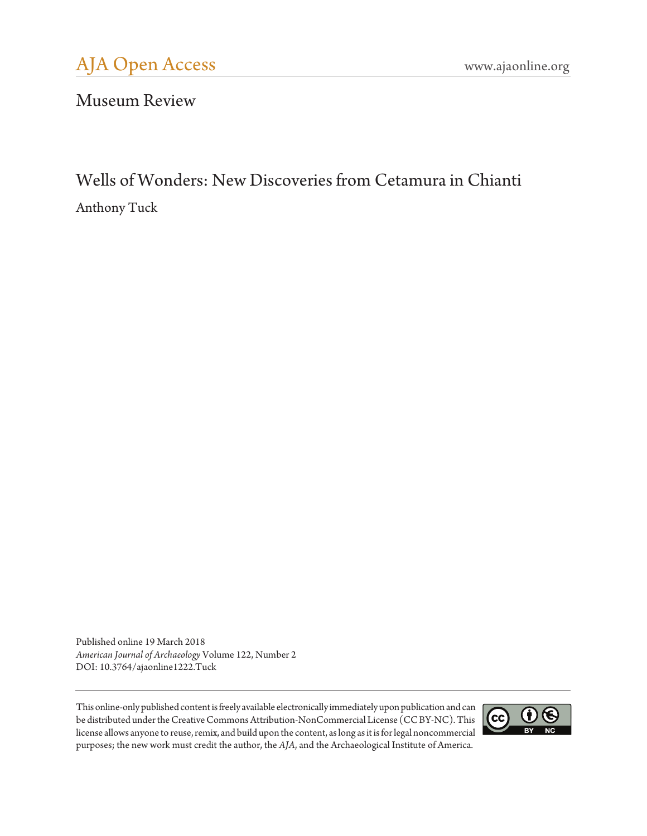Museum Review

# Wells of Wonders: New Discoveries from Cetamura in Chianti Anthony Tuck

Published online 19 March 2018 *American Journal of Archaeology* Volume 122, Number 2 DOI: 10.3764/ajaonline1222.Tuck

This online-only published content is freely available electronically immediately upon publication and can be distributed under the Creative Commons Attribution-NonCommercial License (CC BY-NC). This license allows anyone to reuse, remix, and build upon the content, as long as it is for legal noncommercial purposes; the new work must credit the author, the *AJA*, and the Archaeological Institute of America.

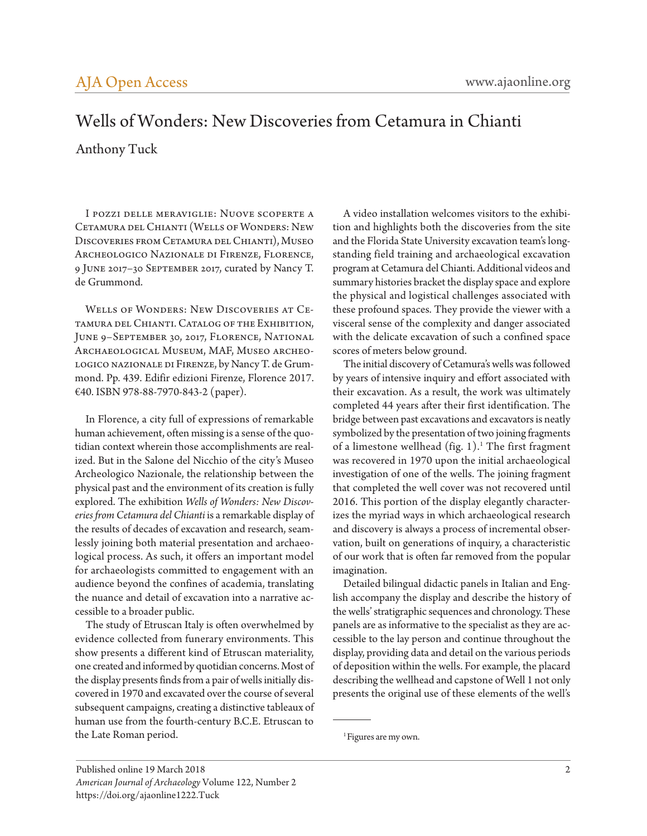## Wells of Wonders: New Discoveries from Cetamura in Chianti

#### Anthony Tuck

I pozzi delle meraviglie: Nuove scoperte a Cetamura del Chianti (Wells of Wonders: New Discoveries from Cetamura del Chianti), Museo Archeologico Nazionale di Firenze, Florence, 9 June 2017–30 September 2017, curated by Nancy T. de Grummond.

Wells of Wonders: New Discoveries at Cetamura del Chianti. Catalog of the Exhibition, June 9–September 30, 2017, Florence, National Archaeological Museum, MAF, Museo archeologico nazionale di Firenze, by Nancy T. de Grummond. Pp. 439. Edifir edizioni Firenze, Florence 2017. €40. ISBN 978-88-7970-843-2 (paper).

In Florence, a city full of expressions of remarkable human achievement, often missing is a sense of the quotidian context wherein those accomplishments are realized. But in the Salone del Nicchio of the city's Museo Archeologico Nazionale, the relationship between the physical past and the environment of its creation is fully explored. The exhibition *Wells of Wonders: New Discoveries from Cetamura del Chianti* is a remarkable display of the results of decades of excavation and research, seamlessly joining both material presentation and archaeological process. As such, it offers an important model for archaeologists committed to engagement with an audience beyond the confines of academia, translating the nuance and detail of excavation into a narrative accessible to a broader public.

The study of Etruscan Italy is often overwhelmed by evidence collected from funerary environments. This show presents a different kind of Etruscan materiality, one created and informed by quotidian concerns. Most of the display presents finds from a pair of wells initially discovered in 1970 and excavated over the course of several subsequent campaigns, creating a distinctive tableaux of human use from the fourth-century B.C.E. Etruscan to the Late Roman period.

A video installation welcomes visitors to the exhibition and highlights both the discoveries from the site and the Florida State University excavation team's longstanding field training and archaeological excavation program at Cetamura del Chianti. Additional videos and summary histories bracket the display space and explore the physical and logistical challenges associated with these profound spaces. They provide the viewer with a visceral sense of the complexity and danger associated with the delicate excavation of such a confined space scores of meters below ground.

The initial discovery of Cetamura's wells was followed by years of intensive inquiry and effort associated with their excavation. As a result, the work was ultimately completed 44 years after their first identification. The bridge between past excavations and excavators is neatly symbolized by the presentation of two joining fragments of a limestone wellhead (fig. 1).<sup>1</sup> The first fragment was recovered in 1970 upon the initial archaeological investigation of one of the wells. The joining fragment that completed the well cover was not recovered until 2016. This portion of the display elegantly characterizes the myriad ways in which archaeological research and discovery is always a process of incremental observation, built on generations of inquiry, a characteristic of our work that is often far removed from the popular imagination.

Detailed bilingual didactic panels in Italian and English accompany the display and describe the history of the wells' stratigraphic sequences and chronology. These panels are as informative to the specialist as they are accessible to the lay person and continue throughout the display, providing data and detail on the various periods of deposition within the wells. For example, the placard describing the wellhead and capstone of Well 1 not only presents the original use of these elements of the well's

<sup>&</sup>lt;sup>1</sup> Figures are my own.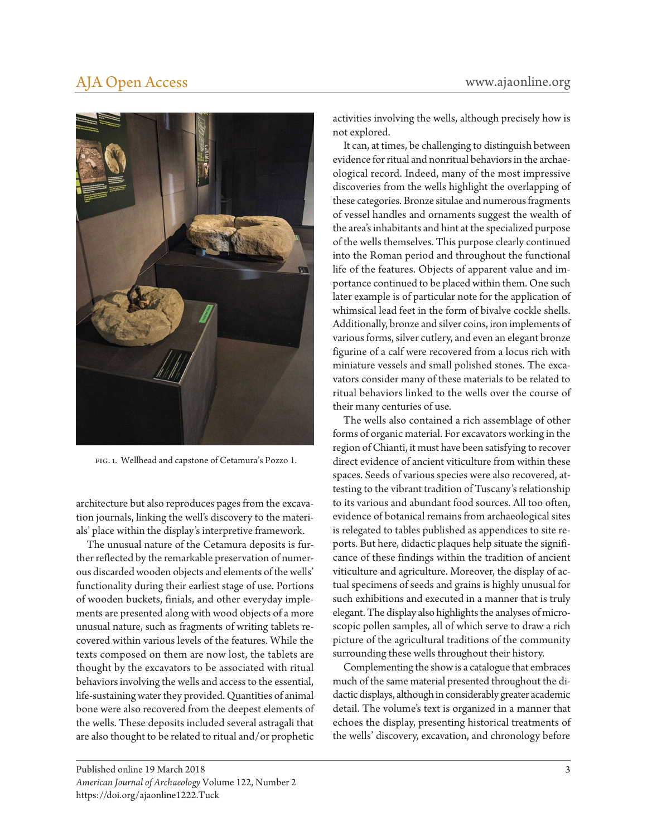### [AJA Open Access](http://www.ajaonline.org/openaccess) [www.ajaonline.org](http://www.ajaonline.org)



fig. 1. Wellhead and capstone of Cetamura's Pozzo 1.

architecture but also reproduces pages from the excavation journals, linking the well's discovery to the materials' place within the display's interpretive framework.

The unusual nature of the Cetamura deposits is further reflected by the remarkable preservation of numerous discarded wooden objects and elements of the wells' functionality during their earliest stage of use. Portions of wooden buckets, finials, and other everyday implements are presented along with wood objects of a more unusual nature, such as fragments of writing tablets recovered within various levels of the features. While the texts composed on them are now lost, the tablets are thought by the excavators to be associated with ritual behaviors involving the wells and access to the essential, life-sustaining water they provided. Quantities of animal bone were also recovered from the deepest elements of the wells. These deposits included several astragali that are also thought to be related to ritual and/or prophetic

It can, at times, be challenging to distinguish between evidence for ritual and nonritual behaviors in the archaeological record. Indeed, many of the most impressive discoveries from the wells highlight the overlapping of these categories. Bronze situlae and numerous fragments of vessel handles and ornaments suggest the wealth of the area's inhabitants and hint at the specialized purpose of the wells themselves. This purpose clearly continued into the Roman period and throughout the functional life of the features. Objects of apparent value and importance continued to be placed within them. One such later example is of particular note for the application of whimsical lead feet in the form of bivalve cockle shells. Additionally, bronze and silver coins, iron implements of various forms, silver cutlery, and even an elegant bronze figurine of a calf were recovered from a locus rich with miniature vessels and small polished stones. The excavators consider many of these materials to be related to ritual behaviors linked to the wells over the course of their many centuries of use.

The wells also contained a rich assemblage of other forms of organic material. For excavators working in the region of Chianti, it must have been satisfying to recover direct evidence of ancient viticulture from within these spaces. Seeds of various species were also recovered, attesting to the vibrant tradition of Tuscany's relationship to its various and abundant food sources. All too often, evidence of botanical remains from archaeological sites is relegated to tables published as appendices to site reports. But here, didactic plaques help situate the significance of these findings within the tradition of ancient viticulture and agriculture. Moreover, the display of actual specimens of seeds and grains is highly unusual for such exhibitions and executed in a manner that is truly elegant. The display also highlights the analyses of microscopic pollen samples, all of which serve to draw a rich picture of the agricultural traditions of the community surrounding these wells throughout their history.

Complementing the show is a catalogue that embraces much of the same material presented throughout the didactic displays, although in considerably greater academic detail. The volume's text is organized in a manner that echoes the display, presenting historical treatments of the wells' discovery, excavation, and chronology before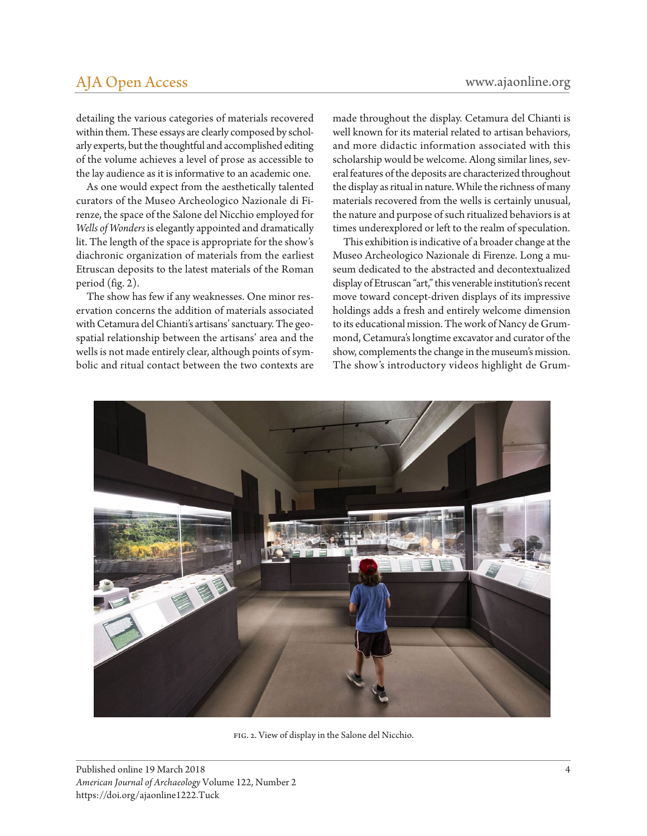#### [AJA Open Access](http://www.ajaonline.org/openaccess) [www.ajaonline.org](http://www.ajaonline.org)

detailing the various categories of materials recovered within them. These essays are clearly composed by scholarly experts, but the thoughtful and accomplished editing of the volume achieves a level of prose as accessible to the lay audience as it is informative to an academic one.

As one would expect from the aesthetically talented curators of the Museo Archeologico Nazionale di Firenze, the space of the Salone del Nicchio employed for *Wells of Wonders* is elegantly appointed and dramatically lit. The length of the space is appropriate for the show's diachronic organization of materials from the earliest Etruscan deposits to the latest materials of the Roman period (fig. 2).

The show has few if any weaknesses. One minor reservation concerns the addition of materials associated with Cetamura del Chianti's artisans' sanctuary. The geospatial relationship between the artisans' area and the wells is not made entirely clear, although points of symbolic and ritual contact between the two contexts are made throughout the display. Cetamura del Chianti is well known for its material related to artisan behaviors, and more didactic information associated with this scholarship would be welcome. Along similar lines, several features of the deposits are characterized throughout the display as ritual in nature. While the richness of many materials recovered from the wells is certainly unusual, the nature and purpose of such ritualized behaviors is at times underexplored or left to the realm of speculation.

This exhibition is indicative of a broader change at the Museo Archeologico Nazionale di Firenze. Long a museum dedicated to the abstracted and decontextualized display of Etruscan "art," this venerable institution's recent move toward concept-driven displays of its impressive holdings adds a fresh and entirely welcome dimension to its educational mission. The work of Nancy de Grummond, Cetamura's longtime excavator and curator of the show, complements the change in the museum's mission. The show's introductory videos highlight de Grum-



fig. 2. View of display in the Salone del Nicchio.